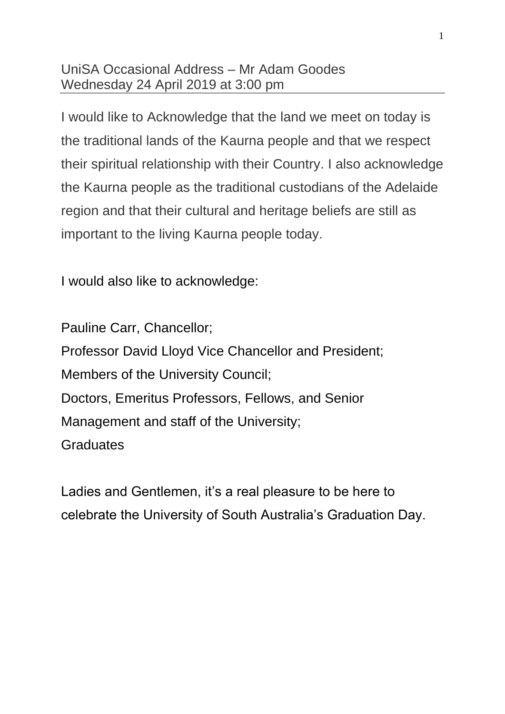## UniSA Occasional Address – Mr Adam Goodes Wednesday 24 April 2019 at 3:00 pm

I would like to Acknowledge that the land we meet on today is the traditional lands of the Kaurna people and that we respect their spiritual relationship with their Country. I also acknowledge the Kaurna people as the traditional custodians of the Adelaide region and that their cultural and heritage beliefs are still as important to the living Kaurna people today.

I would also like to acknowledge:

Pauline Carr, Chancellor; Professor David Lloyd Vice Chancellor and President; Members of the University Council; Doctors, Emeritus Professors, Fellows, and Senior Management and staff of the University; **Graduates** 

Ladies and Gentlemen, it's a real pleasure to be here to celebrate the University of South Australia's Graduation Day.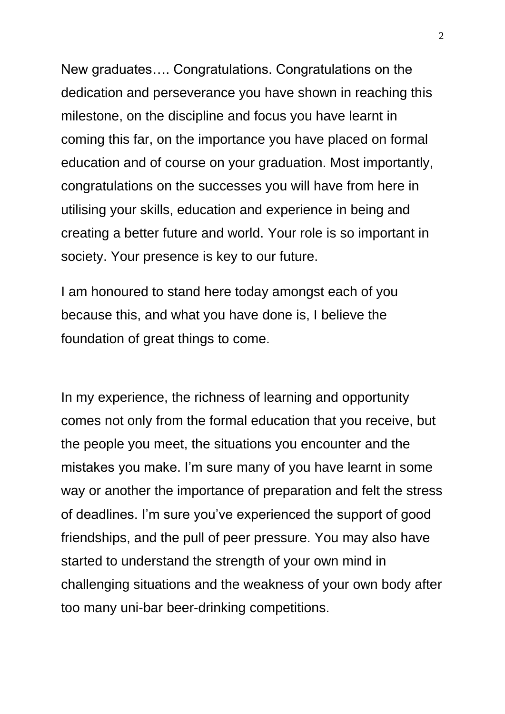New graduates…. Congratulations. Congratulations on the dedication and perseverance you have shown in reaching this milestone, on the discipline and focus you have learnt in coming this far, on the importance you have placed on formal education and of course on your graduation. Most importantly, congratulations on the successes you will have from here in utilising your skills, education and experience in being and creating a better future and world. Your role is so important in society. Your presence is key to our future.

I am honoured to stand here today amongst each of you because this, and what you have done is, I believe the foundation of great things to come.

In my experience, the richness of learning and opportunity comes not only from the formal education that you receive, but the people you meet, the situations you encounter and the mistakes you make. I'm sure many of you have learnt in some way or another the importance of preparation and felt the stress of deadlines. I'm sure you've experienced the support of good friendships, and the pull of peer pressure. You may also have started to understand the strength of your own mind in challenging situations and the weakness of your own body after too many uni-bar beer-drinking competitions.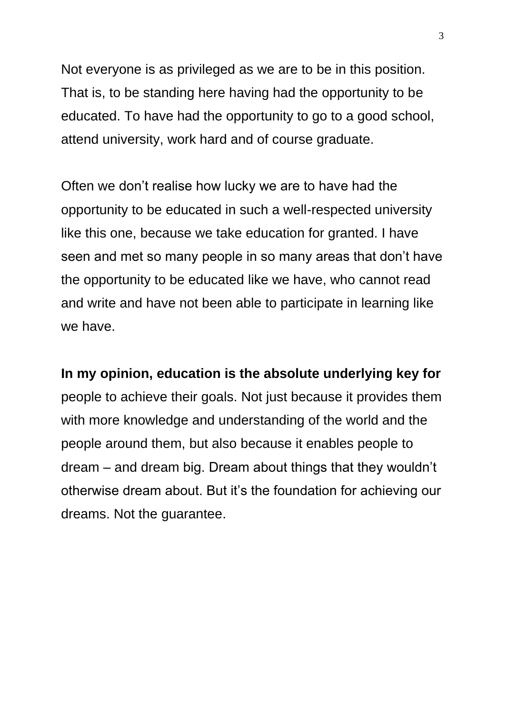Not everyone is as privileged as we are to be in this position. That is, to be standing here having had the opportunity to be educated. To have had the opportunity to go to a good school, attend university, work hard and of course graduate.

Often we don't realise how lucky we are to have had the opportunity to be educated in such a well-respected university like this one, because we take education for granted. I have seen and met so many people in so many areas that don't have the opportunity to be educated like we have, who cannot read and write and have not been able to participate in learning like we have.

**In my opinion, education is the absolute underlying key for** people to achieve their goals. Not just because it provides them with more knowledge and understanding of the world and the people around them, but also because it enables people to dream – and dream big. Dream about things that they wouldn't otherwise dream about. But it's the foundation for achieving our dreams. Not the guarantee.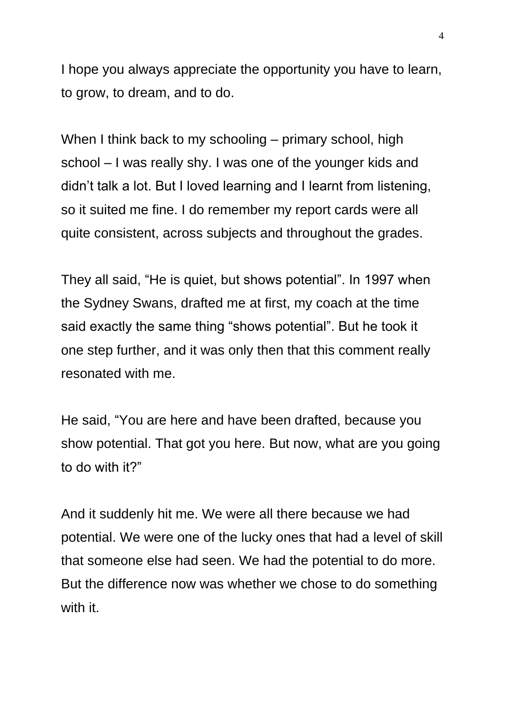I hope you always appreciate the opportunity you have to learn, to grow, to dream, and to do.

When I think back to my schooling – primary school, high school – I was really shy. I was one of the younger kids and didn't talk a lot. But I loved learning and I learnt from listening, so it suited me fine. I do remember my report cards were all quite consistent, across subjects and throughout the grades.

They all said, "He is quiet, but shows potential". In 1997 when the Sydney Swans, drafted me at first, my coach at the time said exactly the same thing "shows potential". But he took it one step further, and it was only then that this comment really resonated with me.

He said, "You are here and have been drafted, because you show potential. That got you here. But now, what are you going to do with it?"

And it suddenly hit me. We were all there because we had potential. We were one of the lucky ones that had a level of skill that someone else had seen. We had the potential to do more. But the difference now was whether we chose to do something with it.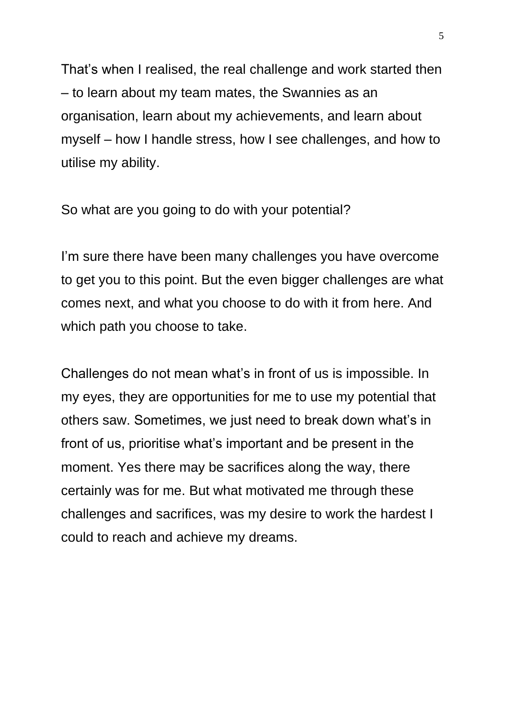That's when I realised, the real challenge and work started then – to learn about my team mates, the Swannies as an organisation, learn about my achievements, and learn about myself – how I handle stress, how I see challenges, and how to utilise my ability.

So what are you going to do with your potential?

I'm sure there have been many challenges you have overcome to get you to this point. But the even bigger challenges are what comes next, and what you choose to do with it from here. And which path you choose to take.

Challenges do not mean what's in front of us is impossible. In my eyes, they are opportunities for me to use my potential that others saw. Sometimes, we just need to break down what's in front of us, prioritise what's important and be present in the moment. Yes there may be sacrifices along the way, there certainly was for me. But what motivated me through these challenges and sacrifices, was my desire to work the hardest I could to reach and achieve my dreams.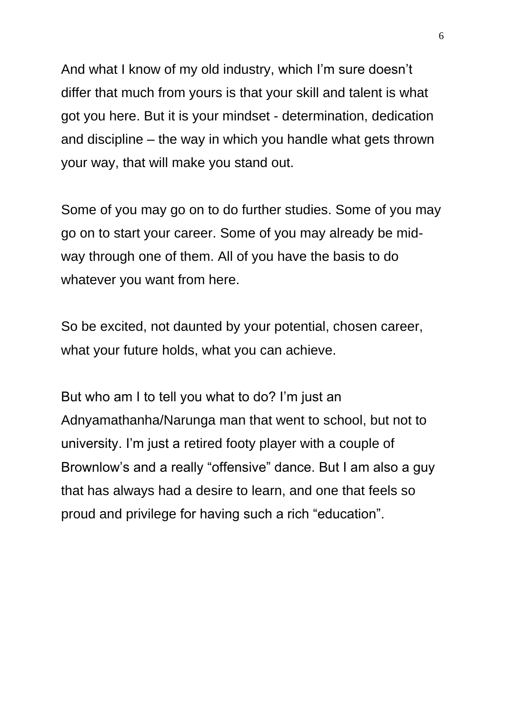And what I know of my old industry, which I'm sure doesn't differ that much from yours is that your skill and talent is what got you here. But it is your mindset - determination, dedication and discipline – the way in which you handle what gets thrown your way, that will make you stand out.

Some of you may go on to do further studies. Some of you may go on to start your career. Some of you may already be midway through one of them. All of you have the basis to do whatever you want from here.

So be excited, not daunted by your potential, chosen career, what your future holds, what you can achieve.

But who am I to tell you what to do? I'm just an Adnyamathanha/Narunga man that went to school, but not to university. I'm just a retired footy player with a couple of Brownlow's and a really "offensive" dance. But I am also a guy that has always had a desire to learn, and one that feels so proud and privilege for having such a rich "education".